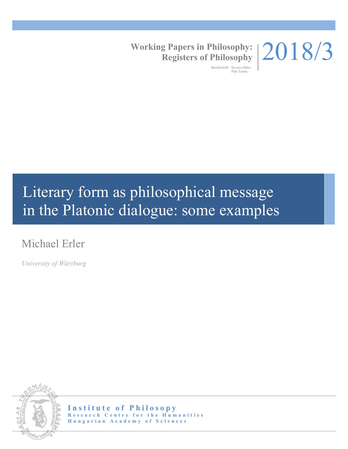

**Working Papers in Philosophy: Registers of Philosophy**

> Szerkesztők: Kovács Gábor Paár Tamás

# Literary form as philosophical message in the Platonic dialogue: some examples

## Michael Erler

*University of Würzburg*



**Institute of Philosopy Research Centre for the Humanities Hungarian Academy of Sciences**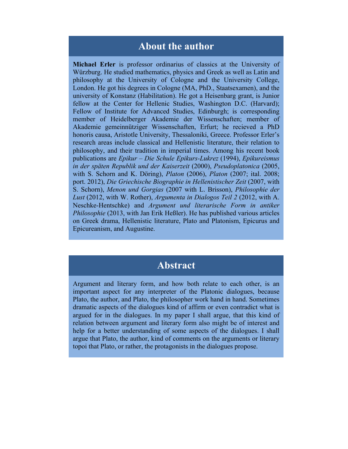## **About the author**

**Michael Erler** is professor ordinarius of classics at the University of Würzburg. He studied mathematics, physics and Greek as well as Latin and philosophy at the University of Cologne and the University College, London. He got his degrees in Cologne (MA, PhD., Staatsexamen), and the university of Konstanz (Habilitation). He got a Heisenbarg grant, is Junior fellow at the Center for Hellenic Studies, Washington D.C. (Harvard); Fellow of Institute for Advanced Studies, Edinburgh; is corresponding member of Heidelberger Akademie der Wissenschaften; member of Akademie gemeinnütziger Wissenschaften, Erfurt; he recieved a PhD honoris causa, Aristotle University, Thessaloniki, Greece. Professor Erler's research areas include classical and Hellenistic literature, their relation to philosophy, and their tradition in imperial times. Among his recent book publications are *Epikur* – *Die Schule Epikurs-Lukrez* (1994), *Epikureismus in der späten Republik und der Kaiserzeit* (2000), *Pseudoplatonica* (2005, with S. Schorn and K. Döring), *Platon* (2006), *Platon* (2007; ital. 2008; port. 2012), *Die Griechische Biographie in Hellenistischer Zeit* (2007, with S. Schorn), *Menon und Gorgias* (2007 with L. Brisson), *Philosophie der Lust* (2012, with W. Rother), *Argumenta in Dialogos Teil 2* (2012, with A. Neschke-Hentschke) and *Argument und literarische Form in antiker Philosophie* (2013, with Jan Erik Heßler). He has published various articles on Greek drama, Hellenistic literature, Plato and Platonism, Epicurus and Epicureanism, and Augustine.

## **Abstract**

Argument and literary form, and how both relate to each other, is an important aspect for any interpreter of the Platonic dialogues, because Plato, the author, and Plato, the philosopher work hand in hand. Sometimes dramatic aspects of the dialogues kind of affirm or even contradict what is argued for in the dialogues. In my paper I shall argue, that this kind of relation between argument and literary form also might be of interest and help for a better understanding of some aspects of the dialogues. I shall argue that Plato, the author, kind of comments on the arguments or literary topoi that Plato, or rather, the protagonists in the dialogues propose.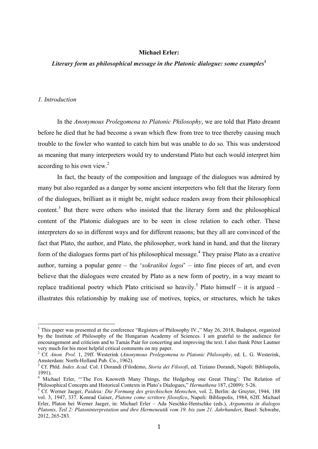#### **Michael Erler:**

#### *Literary form as philosophical message in the Platonic dialogue: some examples***<sup>1</sup>**

#### *1. Introduction*

In the *Anonymous Prolegomena to Platonic Philosophy*, we are told that Plato dreamt before he died that he had become a swan which flew from tree to tree thereby causing much trouble to the fowler who wanted to catch him but was unable to do so. This was understood as meaning that many interpreters would try to understand Plato but each would interpret him according to his own view.<sup>2</sup>

In fact, the beauty of the composition and language of the dialogues was admired by many but also regarded as a danger by some ancient interpreters who felt that the literary form of the dialogues, brilliant as it might be, might seduce readers away from their philosophical content.<sup>3</sup> But there were others who insisted that the literary form and the philosophical content of the Platonic dialogues are to be seen in close relation to each other. These interpreters do so in different ways and for different reasons; but they all are convinced of the fact that Plato, the author, and Plato, the philosopher, work hand in hand, and that the literary form of the dialogues forms part of his philosophical message. $<sup>4</sup>$  They praise Plato as a creative</sup> author, turning a popular genre – the '*sokratikoi logoi*' – into fine pieces of art, and even believe that the dialogues were created by Plato as a new form of poetry, in a way meant to replace traditional poetry which Plato criticised so heavily.<sup>5</sup> Plato himself – it is argued – illustrates this relationship by making use of motives, topics, or structures, which he takes

This paper was presented at the conference "Registers of Philosophy IV.," May 26, 2018, Budapest, organized by the Institute of Philosophy of the Hungarian Academy of Sciences. I am grateful to the audience for encouragement and criticism and to Tamás Paár for concerting and improving the text. I also thank Péter Lautner

<sup>&</sup>lt;sup>2</sup> Cf. *Anon. Prol.* 1, 29ff. Westerink (*Anonymous Prolegomena to Platonic Philosophy*, ed. L. G. Westerink, Amsterdam: North-Holland Pub. Co., 1962).

Cf. Phld. *Index Acad.* Col. I Dorandi (Filodemo, *Storia dei Filosofi*, ed. Tiziano Dorandi, Napoli: Bibliopolis, 1991).

<sup>&</sup>lt;sup>4</sup> Michael Erler, "The Fox Knoweth Many Things, the Hedgehog one Great Thing': The Relation of Philosophical Concepts and Historical Contexts in Plato's Dialogues," *Hermathena* 187, (2009): 5-26. <sup>5</sup>

Cf. Werner Jaeger, *Paideia: Die Formung des griechischen Menschen*, vol. 2, Berlin: de Gruyter, 1944, 188 vol. 3, 1947, 337. Konrad Gaiser, *Platone come scrittore filosofico*, Napoli: Bibliopolis, 1984, 62ff. Michael Erler, Platon bei Werner Jaeger, in: Michael Erler – Ada Neschke-Hentschke (eds.), *Argumenta in dialogos Platonis, Teil 2: Platoninterpretation und ihre Hermeneutik vom 19. bis zum 21. Jahrhundert*, Basel: Schwabe, 2012, 265-283.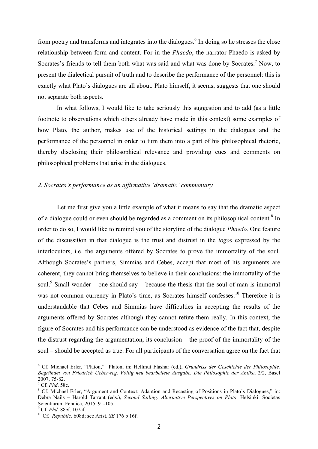from poetry and transforms and integrates into the dialogues.<sup>6</sup> In doing so he stresses the close relationship between form and content. For in the *Phaedo*, the narrator Phaedo is asked by Socrates's friends to tell them both what was said and what was done by Socrates.<sup>7</sup> Now, to present the dialectical pursuit of truth and to describe the performance of the personnel: this is exactly what Plato's dialogues are all about. Plato himself, it seems, suggests that one should not separate both aspects.

In what follows, I would like to take seriously this suggestion and to add (as a little footnote to observations which others already have made in this context) some examples of how Plato, the author, makes use of the historical settings in the dialogues and the performance of the personnel in order to turn them into a part of his philosophical rhetoric, thereby disclosing their philosophical relevance and providing cues and comments on philosophical problems that arise in the dialogues.

#### *2. Socrates's performance as an affirmative 'dramatic' commentary*

Let me first give you a little example of what it means to say that the dramatic aspect of a dialogue could or even should be regarded as a comment on its philosophical content.<sup>8</sup> In order to do so, I would like to remind you of the storyline of the dialogue *Phaedo*. One feature of the discussi0on in that dialogue is the trust and distrust in the *logos* expressed by the interlocutors, i.e. the arguments offered by Socrates to prove the immortality of the soul. Although Socrates's partners, Simmias and Cebes, accept that most of his arguments are coherent, they cannot bring themselves to believe in their conclusions: the immortality of the soul.<sup>9</sup> Small wonder – one should say – because the thesis that the soul of man is immortal was not common currency in Plato's time, as Socrates himself confesses.<sup>10</sup> Therefore it is understandable that Cebes and Simmias have difficulties in accepting the results of the arguments offered by Socrates although they cannot refute them really. In this context, the figure of Socrates and his performance can be understood as evidence of the fact that, despite the distrust regarding the argumentation, its conclusion – the proof of the immortality of the soul – should be accepted as true. For all participants of the conversation agree on the fact that

 <sup>6</sup> Cf. Michael Erler, "Platon,"Platon, in: Hellmut Flashar (ed.), *Grundriss der Geschichte der Philosophie. Begründet von Friedrich Ueberweg. Völlig neu bearbeitete Ausgabe. Die Philosophie der Antike*, 2/2, Basel 2007, 75-82. 7

 $^7$  Cf. *Phd.* 58c.

<sup>&</sup>lt;sup>8</sup> Cf. Michael Erler, "Argument and Context: Adaption and Recasting of Positions in Plato's Dialogues," in: Debra Nails – Harold Tarrant (eds.), *Second Sailing: Alternative Perspectives on Plato*, Helsinki: Societas Scientiarum Fennica, 2015, 91-105.<br><sup>9</sup> Cf. Phd. 88ef. 107af.

<sup>&</sup>lt;sup>10</sup> Cf. *Republic*. 608d; see Arist. *SE* 176 b 16f.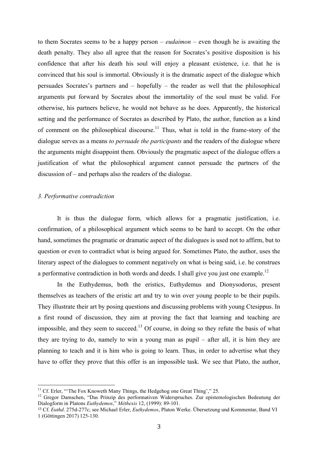to them Socrates seems to be a happy person – *eudaimon* – even though he is awaiting the death penalty. They also all agree that the reason for Socrates's positive disposition is his confidence that after his death his soul will enjoy a pleasant existence, i.e. that he is convinced that his soul is immortal. Obviously it is the dramatic aspect of the dialogue which persuades Socrates's partners and – hopefully – the reader as well that the philosophical arguments put forward by Socrates about the immortality of the soul must be valid. For otherwise, his partners believe, he would not behave as he does. Apparently, the historical setting and the performance of Socrates as described by Plato, the author, function as a kind of comment on the philosophical discourse.<sup>11</sup> Thus, what is told in the frame-story of the dialogue serves as a means *to persuade the participants* and the readers of the dialogue where the arguments might disappoint them. Obviously the pragmatic aspect of the dialogue offers a justification of what the philosophical argument cannot persuade the partners of the discussion of – and perhaps also the readers of the dialogue.

#### *3. Performative contradiction*

It is thus the dialogue form, which allows for a pragmatic justification, i.e. confirmation, of a philosophical argument which seems to be hard to accept. On the other hand, sometimes the pragmatic or dramatic aspect of the dialogues is used not to affirm, but to question or even to contradict what is being argued for. Sometimes Plato, the author, uses the literary aspect of the dialogues to comment negatively on what is being said, i.e. he construes a performative contradiction in both words and deeds. I shall give you just one example.<sup>12</sup>

In the Euthydemus, both the eristics, Euthydemus and Dionysodorus, present themselves as teachers of the eristic art and try to win over young people to be their pupils. They illustrate their art by posing questions and discussing problems with young Ctesippus. In a first round of discussion, they aim at proving the fact that learning and teaching are impossible, and they seem to succeed.<sup>13</sup> Of course, in doing so they refute the basis of what they are trying to do, namely to win a young man as pupil – after all, it is him they are planning to teach and it is him who is going to learn. Thus, in order to advertise what they have to offer they prove that this offer is an impossible task. We see that Plato, the author,

<sup>&</sup>lt;sup>11</sup> Cf. Erler, "The Fox Knoweth Many Things, the Hedgehog one Great Thing'," 25.

<sup>&</sup>lt;sup>12</sup> Gregor Damschen, "Das Prinzip des performativen Widerspruches. Zur epistemologischen Bedeutung der Dialogform in Platons *Euthydemos*," *Méthexis* 12, (1999): 89-101.

<sup>13</sup> Cf. *Euthd*. 275d-277c; see Michael Erler, *Euthydemos*, Platon Werke. Übersetzung und Kommentar, Band VI 1 (Göttingen 2017) 125-130.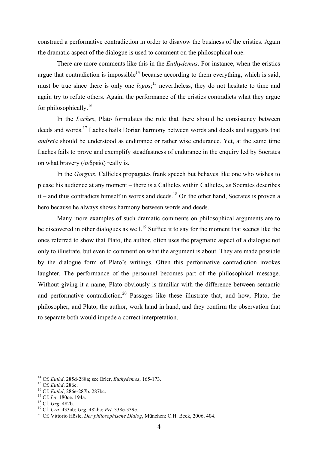construed a performative contradiction in order to disavow the business of the eristics. Again the dramatic aspect of the dialogue is used to comment on the philosophical one.

There are more comments like this in the *Euthydemus*. For instance, when the eristics argue that contradiction is impossible<sup>14</sup> because according to them everything, which is said, must be true since there is only one *logos*;<sup>15</sup> nevertheless, they do not hesitate to time and again try to refute others. Again, the performance of the eristics contradicts what they argue for philosophically.<sup>16</sup>

In the *Laches*, Plato formulates the rule that there should be consistency between deeds and words.<sup>17</sup> Laches hails Dorian harmony between words and deeds and suggests that *andreia* should be understood as endurance or rather wise endurance. Yet, at the same time Laches fails to prove and exemplify steadfastness of endurance in the enquiry led by Socrates on what bravery (ἀνδρεία) really is.

In the *Gorgias*, Callicles propagates frank speech but behaves like one who wishes to please his audience at any moment – there is a Callicles within Callicles, as Socrates describes  $it$  – and thus contradicts himself in words and deeds.<sup>18</sup> On the other hand, Socrates is proven a hero because he always shows harmony between words and deeds.

Many more examples of such dramatic comments on philosophical arguments are to be discovered in other dialogues as well.<sup>19</sup> Suffice it to say for the moment that scenes like the ones referred to show that Plato, the author, often uses the pragmatic aspect of a dialogue not only to illustrate, but even to comment on what the argument is about. They are made possible by the dialogue form of Plato's writings. Often this performative contradiction invokes laughter. The performance of the personnel becomes part of the philosophical message. Without giving it a name, Plato obviously is familiar with the difference between semantic and performative contradiction.<sup>20</sup> Passages like these illustrate that, and how, Plato, the philosopher, and Plato, the author, work hand in hand, and they confirm the observation that to separate both would impede a correct interpretation.

 

<sup>&</sup>lt;sup>14</sup> Cf. *Euthd.* 285d-288a; see Erler, *Euthydemos*, 165-173.<br><sup>15</sup> Cf. *Euthd.* 286c.<br><sup>16</sup> Cf. *Euthd*, 286e-287b. 287bc.<br><sup>17</sup> Cf. *La.* 180ce. 194a.<br><sup>18</sup> Cf. *Grg.* 482b.<br><sup>19</sup> Cf. *Cra.* 433ab; *Grg.* 482bc; *Prt.* 338e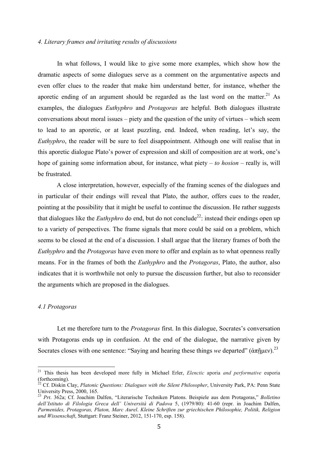#### *4. Literary frames and irritating results of discussions*

In what follows, I would like to give some more examples, which show how the dramatic aspects of some dialogues serve as a comment on the argumentative aspects and even offer clues to the reader that make him understand better, for instance, whether the aporetic ending of an argument should be regarded as the last word on the matter. $21$  As examples, the dialogues *Euthyphro* and *Protagoras* are helpful. Both dialogues illustrate conversations about moral issues – piety and the question of the unity of virtues – which seem to lead to an aporetic, or at least puzzling, end. Indeed, when reading, let's say, the *Euthyphro*, the reader will be sure to feel disappointment. Although one will realise that in this aporetic dialogue Plato's power of expression and skill of composition are at work, one's hope of gaining some information about, for instance, what piety – *to hosion* – really is, will be frustrated.

A close interpretation, however, especially of the framing scenes of the dialogues and in particular of their endings will reveal that Plato, the author, offers cues to the reader, pointing at the possibility that it might be useful to continue the discussion. He rather suggests that dialogues like the *Euthyphro* do end, but do not conclude<sup>22</sup>: instead their endings open up to a variety of perspectives. The frame signals that more could be said on a problem, which seems to be closed at the end of a discussion. I shall argue that the literary frames of both the *Euthyphro* and the *Protagoras* have even more to offer and explain as to what openness really means. For in the frames of both the *Euthyphro* and the *Protagoras*, Plato, the author, also indicates that it is worthwhile not only to pursue the discussion further, but also to reconsider the arguments which are proposed in the dialogues.

#### *4.1 Protagoras*

Let me therefore turn to the *Protagoras* first. In this dialogue, Socrates's conversation with Protagoras ends up in confusion. At the end of the dialogue, the narrative given by Socrates closes with one sentence: "Saying and hearing these things *we* departed" (ἀπῆμεν).<sup>23</sup>

 21 This thesis has been developed more fully in Michael Erler, *Elenctic* aporia *and performative* euporia (forthcoming).

<sup>&</sup>lt;sup>22</sup> Cf. Diskin Clay, *Platonic Questions: Dialogues with the Silent Philosopher*, University Park, PA: Penn State University Press, 2000, 165.

<sup>23</sup> *Prt*. 362a; Cf. Joachim Dalfen, "Literarische Techniken Platons. Beispiele aus dem Protagoras," *Bolletino dell'Istituto di Filologia Greca dell' Università di Padova* 5, (1979/80): 41-60 (repr. in Joachim Dalfen, *Parmenides, Protagoras, Platon, Marc Aurel*. *Kleine Schriften zur griechischen Philosophie, Politik, Religion und Wissenschaft*, Stuttgart: Franz Steiner, 2012, 151-170, esp. 158).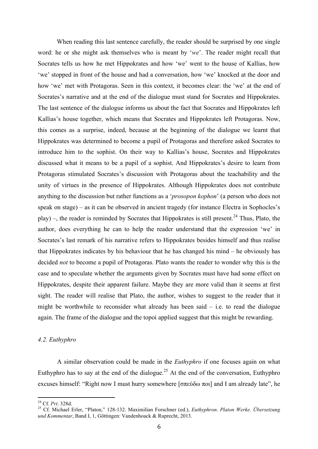When reading this last sentence carefully, the reader should be surprised by one single word: he or she might ask themselves who is meant by '*we*'. The reader might recall that Socrates tells us how he met Hippokrates and how 'we' went to the house of Kallias, how 'we' stopped in front of the house and had a conversation, how 'we' knocked at the door and how 'we' met with Protagoras. Seen in this context, it becomes clear: the 'we' at the end of Socrates's narrative and at the end of the dialogue must stand for Socrates and Hippokrates. The last sentence of the dialogue informs us about the fact that Socrates and Hippokrates left Kallias's house together, which means that Socrates and Hippokrates left Protagoras. Now, this comes as a surprise, indeed, because at the beginning of the dialogue we learnt that Hippokrates was determined to become a pupil of Protagoras and therefore asked Socrates to introduce him to the sophist. On their way to Kallias's house, Socrates and Hippokrates discussed what it means to be a pupil of a sophist. And Hippokrates's desire to learn from Protagoras stimulated Socrates's discussion with Protagoras about the teachability and the unity of virtues in the presence of Hippokrates. Although Hippokrates does not contribute anything to the discussion but rather functions as a '*prosopon kophon*' (a person who does not speak on stage) – as it can be observed in ancient tragedy (for instance Electra in Sophocles's play) –, the reader is reminded by Socrates that Hippokrates is still present.<sup>24</sup> Thus, Plato, the author, does everything he can to help the reader understand that the expression 'we' in Socrates's last remark of his narrative refers to Hippokrates besides himself and thus realise that Hippokrates indicates by his behaviour that he has changed his mind – he obviously has decided *not* to become a pupil of Protagoras. Plato wants the reader to wonder why this is the case and to speculate whether the arguments given by Socrates must have had some effect on Hippokrates, despite their apparent failure. Maybe they are more valid than it seems at first sight. The reader will realise that Plato, the author, wishes to suggest to the reader that it might be worthwhile to reconsider what already has been said  $-$  i.e. to read the dialogue again. The frame of the dialogue and the topoi applied suggest that this might be rewarding.

#### *4.2. Euthyphro*

A similar observation could be made in the *Euthyphro* if one focuses again on what Euthyphro has to say at the end of the dialogue.<sup>25</sup> At the end of the conversation, Euthyphro excuses himself: "Right now I must hurry somewhere [σπεύδω ποι] and I am already late", he

 24 Cf. *Prt*. 328d. 25 Cf. Michael Erler, "Platon," 128-132. Maximilian Forschner (ed.), *Euthyphron*. *Platon Werke. Übersetzung und Kommentar*, Band I, 1, Göttingen: Vandenhoack & Ruprecht, 2013.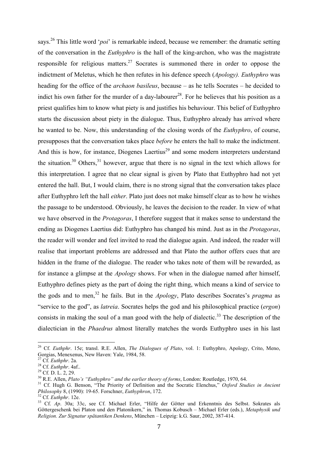says.26 This little word '*poi*' is remarkable indeed, because we remember: the dramatic setting of the conversation in the *Euthyphro* is the hall of the king-archon, who was the magistrate responsible for religious matters.<sup>27</sup> Socrates is summoned there in order to oppose the indictment of Meletus, which he then refutes in his defence speech (*Apology). Euthyphro* was heading for the office of the *archaon basileus*, because – as he tells Socrates – he decided to indict his own father for the murder of a day-labourer<sup>28</sup>. For he believes that his position as a priest qualifies him to know what piety is and justifies his behaviour. This belief of Euthyphro starts the discussion about piety in the dialogue. Thus, Euthyphro already has arrived where he wanted to be. Now, this understanding of the closing words of the *Euthyphro*, of course, presupposes that the conversation takes place *before* he enters the hall to make the indictment. And this is how, for instance, Diogenes Laertius<sup>29</sup> and some modern interpreters understand the situation.<sup>30</sup> Others,<sup>31</sup> however, argue that there is no signal in the text which allows for this interpretation. I agree that no clear signal is given by Plato that Euthyphro had not yet entered the hall. But, I would claim, there is no strong signal that the conversation takes place after Euthyphro left the hall *either*. Plato just does not make himself clear as to how he wishes the passage to be understood. Obviously, he leaves the decision to the reader. In view of what we have observed in the *Protagoras*, I therefore suggest that it makes sense to understand the ending as Diogenes Laertius did: Euthyphro has changed his mind. Just as in the *Protagoras*, the reader will wonder and feel invited to read the dialogue again. And indeed, the reader will realise that important problems are addressed and that Plato the author offers cues that are hidden in the frame of the dialogue. The reader who takes note of them will be rewarded, as for instance a glimpse at the *Apology* shows. For when in the dialogue named after himself, Euthyphro defines piety as the part of doing the right thing, which means a kind of service to the gods and to men, 32 he fails. But in the *Apology*, Plato describes Socrates's *pragma* as "service to the god", as *latreia*. Socrates helps the god and his philosophical practice (*ergon*) consists in making the soul of a man good with the help of dialectic.<sup>33</sup> The description of the dialectician in the *Phaedrus* almost literally matches the words Euthyphro uses in his last

 

<sup>26</sup> Cf. *Euthphr*. 15e; transl. R.E. Allen, *The Dialogues of Plato*, vol. 1: Euthyphro, Apology, Crito, Meno, Gorgias, Menexenus, New Haven: Yale, 1984, 58.<br><sup>27</sup> Cf. *Euthphr*. 2a.<br><sup>28</sup> Cf. *Euthphr*. 4af..<br><sup>29</sup> Cf. D. L. 2, 29.<br><sup>30</sup> R.E. Allen. *Plato's "Euthyphro" and the earlier theory of forms*, London: Routledge, 1970, 64.

<sup>&</sup>lt;sup>31</sup> Cf. Hugh G. Benson, "The Priority of Definition and the Socratic Elenchus," Oxford Studies in Ancient *Philosophy* 8, (1990): 19-65. Forschner, *Euthyphron*, 172.<br><sup>32</sup> Cf. *Euthphr*. 12e. *Philosophy* 8, (1990): 19-65. Forschner, *Euthyphron*, 172.<br><sup>32</sup> Cf. *Euthphr*. 12e.<br><sup>33</sup> Cf. *Ap.* 30a; 33c, see Cf. Michael Erler, "Hilfe der Götter und Erkenntnis des Selbst. Sokrates als

Göttergeschenk bei Platon und den Platonikern," in. Thomas Kobusch – Michael Erler (eds.), *Metaphysik und Religion. Zur Signatur spätantiken Denkens*, München – Leipzig: k.G. Saur, 2002, 387-414.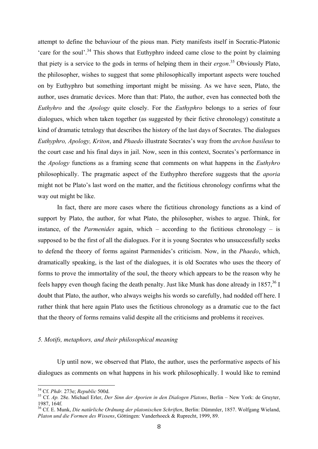attempt to define the behaviour of the pious man. Piety manifests itself in Socratic-Platonic 'care for the soul'.<sup>34</sup> This shows that Euthyphro indeed came close to the point by claiming that piety is a service to the gods in terms of helping them in their *ergon*. 35 Obviously Plato, the philosopher, wishes to suggest that some philosophically important aspects were touched on by Euthyphro but something important might be missing. As we have seen, Plato, the author, uses dramatic devices. More than that: Plato, the author, even has connected both the *Euthyhro* and the *Apology* quite closely. For the *Euthyphro* belongs to a series of four dialogues, which when taken together (as suggested by their fictive chronology) constitute a kind of dramatic tetralogy that describes the history of the last days of Socrates. The dialogues *Euthyphro, Apology, Kriton*, and *Phaedo* illustrate Socrates's way from the *archon basileus* to the court case and his final days in jail. Now, seen in this context, Socrates's performance in the *Apology* functions as a framing scene that comments on what happens in the *Euthyhro*  philosophically. The pragmatic aspect of the Euthyphro therefore suggests that the *aporia* might not be Plato's last word on the matter, and the fictitious chronology confirms what the way out might be like.

In fact, there are more cases where the fictitious chronology functions as a kind of support by Plato, the author, for what Plato, the philosopher, wishes to argue. Think, for instance, of the *Parmenides* again, which – according to the fictitious chronology – is supposed to be the first of all the dialogues. For it is young Socrates who unsuccessfully seeks to defend the theory of forms against Parmenides's criticism. Now, in the *Phaedo*, which, dramatically speaking, is the last of the dialogues, it is old Socrates who uses the theory of forms to prove the immortality of the soul, the theory which appears to be the reason why he feels happy even though facing the death penalty. Just like Munk has done already in  $1857^{36}$  I doubt that Plato, the author, who always weighs his words so carefully, had nodded off here. I rather think that here again Plato uses the fictitious chronology as a dramatic cue to the fact that the theory of forms remains valid despite all the criticisms and problems it receives.

#### *5. Motifs, metaphors, and their philosophical meaning*

Up until now, we observed that Plato, the author, uses the performative aspects of his dialogues as comments on what happens in his work philosophically. I would like to remind

<sup>&</sup>lt;sup>34</sup> Cf. *Phdr.* 273e; *Republic* 500d.<br><sup>35</sup> Cf. *Ap.* 28e. Michael Erler, *Der Sinn der Aporien in den Dialogen Platons*, Berlin – New York: de Gruyter, 1987, 164f.

<sup>36</sup> Cf. E. Munk, *Die natürliche Ordnung der platonischen Schriften*, Berlin: Dümmler, 1857. Wolfgang Wieland, *Platon und die Formen des Wissens*, Göttingen: Vanderhoeck & Ruprecht, 1999, 89.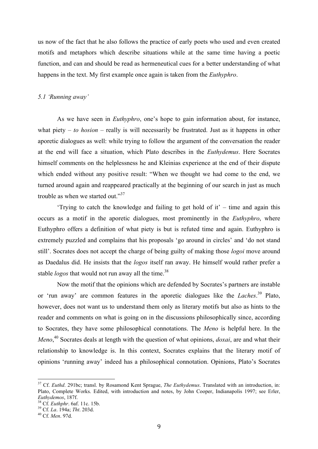us now of the fact that he also follows the practice of early poets who used and even created motifs and metaphors which describe situations while at the same time having a poetic function, and can and should be read as hermeneutical cues for a better understanding of what happens in the text. My first example once again is taken from the *Euthyphro*.

#### *5.1 'Running away'*

As we have seen in *Euthyphro*, one's hope to gain information about, for instance, what piety  $-$  *to hosion*  $-$  really is will necessarily be frustrated. Just as it happens in other aporetic dialogues as well: while trying to follow the argument of the conversation the reader at the end will face a situation, which Plato describes in the *Euthydemus*. Here Socrates himself comments on the helplessness he and Kleinias experience at the end of their dispute which ended without any positive result: "When we thought we had come to the end, we turned around again and reappeared practically at the beginning of our search in just as much trouble as when we started out."<sup>37</sup>

'Trying to catch the knowledge and failing to get hold of it' – time and again this occurs as a motif in the aporetic dialogues, most prominently in the *Euthyphro*, where Euthyphro offers a definition of what piety is but is refuted time and again. Euthyphro is extremely puzzled and complains that his proposals 'go around in circles' and 'do not stand still'. Socrates does not accept the charge of being guilty of making those *logoi* move around as Daedalus did. He insists that the *logos* itself ran away. He himself would rather prefer a stable *logos* that would not run away all the time.<sup>38</sup>

Now the motif that the opinions which are defended by Socrates's partners are instable or 'run away' are common features in the aporetic dialogues like the *Laches*. 39 Plato, however, does not want us to understand them only as literary motifs but also as hints to the reader and comments on what is going on in the discussions philosophically since, according to Socrates, they have some philosophical connotations. The *Meno* is helpful here. In the *Meno*, 40 Socrates deals at length with the question of what opinions, *doxai*, are and what their relationship to knowledge is. In this context, Socrates explains that the literary motif of opinions 'running away' indeed has a philosophical connotation. Opinions, Plato's Socrates

 37 Cf. *Euthd*. 291bc; transl. by Rosamond Kent Sprague, *The Euthydemus*. Translated with an introduction, in: Plato, Complete Works. Edited, with introduction and notes, by John Cooper, Indianapolis 1997; see Erler, *Euthydemos*, 187f. 38 Cf. *Euthphr*. 6af. 11c. 15b. 39 Cf. *La*. 194a; *Tht*. 203d. 40 Cf. *Men*. 97d.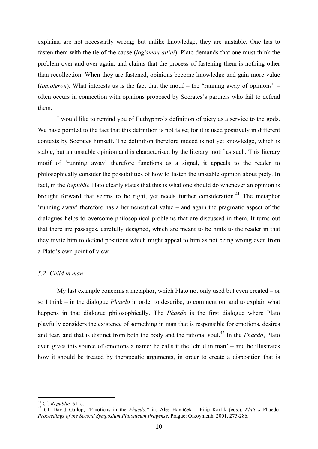explains, are not necessarily wrong; but unlike knowledge, they are unstable. One has to fasten them with the tie of the cause (*logismou aitiai*). Plato demands that one must think the problem over and over again, and claims that the process of fastening them is nothing other than recollection. When they are fastened, opinions become knowledge and gain more value (*timioteron*). What interests us is the fact that the motif – the "running away of opinions" – often occurs in connection with opinions proposed by Socrates's partners who fail to defend them.

I would like to remind you of Euthyphro's definition of piety as a service to the gods. We have pointed to the fact that this definition is not false; for it is used positively in different contexts by Socrates himself. The definition therefore indeed is not yet knowledge, which is stable, but an unstable opinion and is characterised by the literary motif as such. This literary motif of 'running away' therefore functions as a signal, it appeals to the reader to philosophically consider the possibilities of how to fasten the unstable opinion about piety. In fact, in the *Republic* Plato clearly states that this is what one should do whenever an opinion is brought forward that seems to be right, yet needs further consideration. 41 The metaphor 'running away' therefore has a hermeneutical value – and again the pragmatic aspect of the dialogues helps to overcome philosophical problems that are discussed in them. It turns out that there are passages, carefully designed, which are meant to be hints to the reader in that they invite him to defend positions which might appeal to him as not being wrong even from a Plato's own point of view.

#### *5.2 'Child in man'*

My last example concerns a metaphor, which Plato not only used but even created – or so I think – in the dialogue *Phaedo* in order to describe, to comment on, and to explain what happens in that dialogue philosophically. The *Phaedo* is the first dialogue where Plato playfully considers the existence of something in man that is responsible for emotions, desires and fear, and that is distinct from both the body and the rational soul.<sup>42</sup> In the *Phaedo*. Plato even gives this source of emotions a name: he calls it the 'child in man' – and he illustrates how it should be treated by therapeutic arguments, in order to create a disposition that is

<sup>&</sup>lt;sup>41</sup> Cf. *Republic*. 611e.<br><sup>42</sup> Cf. David Gallop, "Emotions in the *Phaedo*," in: Ales Havlíček – Filip Karfík (eds.), *Plato's* Phaedo. *Proceedings of the Second Symposium Platonicum Pragense*, Prague: Oikoymenh, 2001, 275-286.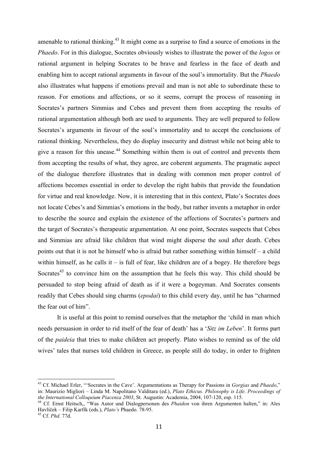amenable to rational thinking.<sup> $43$ </sup> It might come as a surprise to find a source of emotions in the *Phaedo*. For in this dialogue, Socrates obviously wishes to illustrate the power of the *logos* or rational argument in helping Socrates to be brave and fearless in the face of death and enabling him to accept rational arguments in favour of the soul's immortality. But the *Phaedo*  also illustrates what happens if emotions prevail and man is not able to subordinate these to reason. For emotions and affections, or so it seems, corrupt the process of reasoning in Socrates's partners Simmias and Cebes and prevent them from accepting the results of rational argumentation although both are used to arguments. They are well prepared to follow Socrates's arguments in favour of the soul's immortality and to accept the conclusions of rational thinking. Nevertheless, they do display insecurity and distrust while not being able to give a reason for this unease.<sup>44</sup> Something within them is out of control and prevents them from accepting the results of what, they agree, are coherent arguments. The pragmatic aspect of the dialogue therefore illustrates that in dealing with common men proper control of affections becomes essential in order to develop the right habits that provide the foundation for virtue and real knowledge. Now, it is interesting that in this context, Plato's Socrates does not locate Cebes's and Simmias's emotions in the body, but rather invents a metaphor in order to describe the source and explain the existence of the affections of Socrates's partners and the target of Socrates's therapeutic argumentation. At one point, Socrates suspects that Cebes and Simmias are afraid like children that wind might disperse the soul after death. Cebes points out that it is not he himself who is afraid but rather something within himself – a child within himself, as he calls it – is full of fear, like children are of a bogey. He therefore begs Socrates<sup>45</sup> to convince him on the assumption that he feels this way. This child should be persuaded to stop being afraid of death as if it were a bogeyman. And Socrates consents readily that Cebes should sing charms (*epodai*) to this child every day, until he has "charmed the fear out of him".

It is useful at this point to remind ourselves that the metaphor the 'child in man which needs persuasion in order to rid itself of the fear of death' has a '*Sitz im Leben*'. It forms part of the *paideia* that tries to make children act properly. Plato wishes to remind us of the old wives' tales that nurses told children in Greece, as people still do today, in order to frighten

 43 Cf. Michael Erler, "'Socrates in the Cave'. Argumentations as Therapy for Passions in *Gorgias* and *Phaedo*," in: Maurizio Migliori – Linda M. Napolitano Valditara (ed.), *Plato Ethicus. Philosophy is Life*. *Proceedings of the International Colloquium Piacenza 2003*, St. Augustin: Academia, 2004, 107-120, esp. 115. 44 Cf. Ernst Heitsch,, "Was Autor und Dialogpersonen des *Phaidon* von ihren Argumenten halten," in: Ales

Havlíček – Filip Karfík (eds.), *Plato's* Phaedo*.* 78-95. 45 Cf. *Phd*. 77d.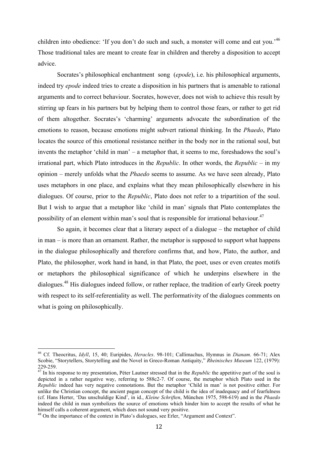children into obedience: 'If you don't do such and such, a monster will come and eat you.'<sup>46</sup> Those traditional tales are meant to create fear in children and thereby a disposition to accept advice.

Socrates's philosophical enchantment song (*epode*), i.e. his philosophical arguments, indeed try *epode* indeed tries to create a disposition in his partners that is amenable to rational arguments and to correct behaviour. Socrates, however, does not wish to achieve this result by stirring up fears in his partners but by helping them to control those fears, or rather to get rid of them altogether. Socrates's 'charming' arguments advocate the subordination of the emotions to reason, because emotions might subvert rational thinking. In the *Phaedo*, Plato locates the source of this emotional resistance neither in the body nor in the rational soul, but invents the metaphor 'child in man' – a metaphor that, it seems to me, foreshadows the soul's irrational part, which Plato introduces in the *Republic*. In other words, the *Republic* – in my opinion – merely unfolds what the *Phaedo* seems to assume. As we have seen already, Plato uses metaphors in one place, and explains what they mean philosophically elsewhere in his dialogues. Of course, prior to the *Republic*, Plato does not refer to a tripartition of the soul. But I wish to argue that a metaphor like 'child in man' signals that Plato contemplates the possibility of an element within man's soul that is responsible for irrational behaviour.<sup>47</sup>

So again, it becomes clear that a literary aspect of a dialogue – the metaphor of child in man – is more than an ornament. Rather, the metaphor is supposed to support what happens in the dialogue philosophically and therefore confirms that, and how, Plato, the author, and Plato, the philosopher, work hand in hand, in that Plato, the poet, uses or even creates motifs or metaphors the philosophical significance of which he underpins elsewhere in the dialogues.<sup>48</sup> His dialogues indeed follow, or rather replace, the tradition of early Greek poetry with respect to its self-referentiality as well. The performativity of the dialogues comments on what is going on philosophically.

 46 Cf. Theocritus, *Idyll*, 15, 40; Euripides, *Heracles*. 98-101; Callimachus, Hymnus in *Dianam*. 66-71; Alex Scobie, "Storytellers, Storytelling and the Novel in Greco-Roman Antiquity," *Rheinisches Museum* 122, (1979): 229-259. 47 In his response to my presentation, Péter Lautner stressed that in the *Republic* the appetitive part of the soul is

depicted in a rather negative way, referring to 588c2-7. Of course, the metaphor which Plato used in the *Republic* indeed has very negative connotations. But the metaphor 'Child in man' is not positive either. For unlike the Christian concept, the ancient pagan concept of the child is the idea of inadequacy and of fearfulness (cf. Hans Herter, 'Das unschuldige Kind', in id., *Kleine Schriften*, München 1975, 598-619) and in the *Phaedo* indeed the child in man symbolizes the source of emotions which hinder him to accept the results of what he himself calls a coherent argument, which does not sound very positive.

 $48$  On the importance of the context in Plato's dialogues, see Erler, "Argument and Context".